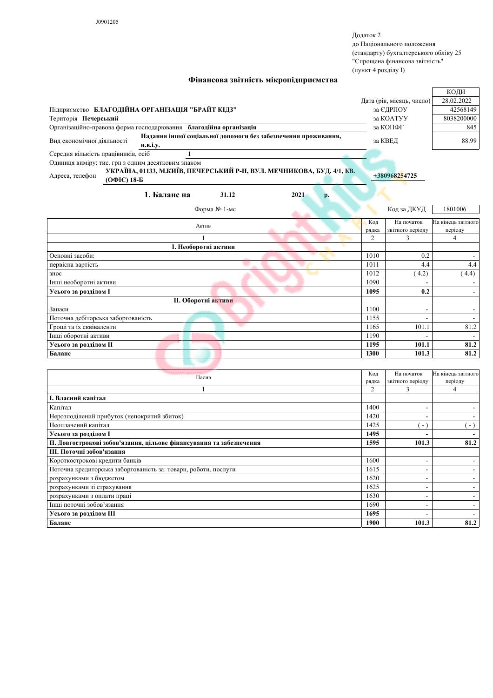Додаток 2 до Національного положення (стандарту) бухгалтерського обліку 25 "Спрощена фінансова звітність" (пункт 4 розділу I)

+380968254725

|                                                                   |                 |                                                                |                           | КОДИ       |
|-------------------------------------------------------------------|-----------------|----------------------------------------------------------------|---------------------------|------------|
|                                                                   |                 |                                                                | Дата (рік, місяць, число) | 28.02.2022 |
| Підприємство БЛАГОДІЙНА ОРГАНІЗАЦІЯ "БРАЙТ КІДЗ"                  |                 |                                                                | за ЄДРПОУ                 | 42568149   |
| Територія Печерський                                              |                 |                                                                | за КОАТУУ                 | 8038200000 |
| Організаційно-правова форма господарювання благодійна організація |                 |                                                                | за КОПФГ                  | 845        |
| Вид економічної діяльності                                        |                 | Надання іншої соціальної допомоги без забезпечення проживання, | за КВЕД                   | 88.99      |
|                                                                   | <b>H.B.I.V.</b> |                                                                |                           |            |
| Середня кількість працівників, осіб                               |                 |                                                                |                           |            |

Фінансова звітність мікропідприємства

Одиниця виміру: тис. грн з одним десятковим знаком

УКРАЇНА, 01133, М.КИЇВ, ПЕЧЕРСЬКИЙ Р-Н, ВУЛ. МЕЧНИКОВА, БУД. 4/1, КВ. Адреса, телефон (ОФІС) 18-Б

| 1. Баланс на<br>31.12                | 2021 | p. |                |                                |                               |
|--------------------------------------|------|----|----------------|--------------------------------|-------------------------------|
| Форма № 1-мс                         |      |    |                | Код за ДКУД                    | 1801006                       |
| Актив                                |      |    | Код<br>рядка   | На початок<br>звітного періоду | На кінець звітного<br>періоду |
|                                      |      |    | $\overline{c}$ | 3                              | 4                             |
| I. Необоротні активи                 |      |    |                |                                |                               |
| Основні засоби:                      |      |    | 1010           | 0.2                            |                               |
| первісна вартість                    |      |    | 1011           | 4.4                            | 4.4                           |
| знос                                 |      |    | 1012           | (4.2)                          | 4.4)                          |
| Інші необоротні активи               |      |    | 1090           |                                |                               |
| Усього за розділом I                 |      |    | 1095           | 0.2                            |                               |
| <b>II. Оборотні активи</b>           |      |    |                |                                |                               |
| Запаси<br>محصص                       |      |    | 1100           | $\overline{\phantom{a}}$       |                               |
| Поточна дебіторська заборгованість   |      |    | 1155           | $\overline{\phantom{a}}$       |                               |
| Гроші та їх еквіваленти              |      |    | 1165           | 101.1                          | 81.2                          |
| <b>AAAAA</b><br>Інші оборотні активи |      |    | 1190           |                                |                               |
| Усього за розділом II                |      |    | 1195           | 101.1                          | 81.2                          |
| Баланс                               |      |    | 1300           | 101.3                          | 81.2                          |
|                                      |      |    |                |                                |                               |

| Пасив                                                                | Код  | На початок       | На кінець звітного |
|----------------------------------------------------------------------|------|------------------|--------------------|
| рядка                                                                |      | звітного періоду | періоду            |
|                                                                      | 2    | 3                | 4                  |
| I. Власний капітал                                                   |      |                  |                    |
| Капітал                                                              | 1400 | ۰                |                    |
| Нерозподілений прибуток (непокритий збиток)                          | 1420 |                  |                    |
| Неоплачений капітал                                                  | 1425 | $\sim$           | $\sim$ $\sim$      |
| Усього за розділом I                                                 | 1495 |                  |                    |
| II. Довгострокові зобов'язання, цільове фінансування та забезпечення | 1595 | 101.3            | 81.2               |
| III. Поточні зобов'язання                                            |      |                  |                    |
| Короткострокові кредити банків                                       | 1600 | -                |                    |
| Поточна кредиторська заборгованість за: товари, роботи, послуги      | 1615 |                  |                    |
| розрахунками з бюджетом                                              | 1620 |                  |                    |
| розрахунками зі страхування                                          | 1625 |                  |                    |
| розрахунками з оплати праці                                          | 1630 |                  |                    |
| Інші поточні зобов'язання                                            | 1690 | ۰                |                    |
| Усього за розділом Ш                                                 | 1695 |                  |                    |
| Баланс                                                               | 1900 | 101.3            | 81.2               |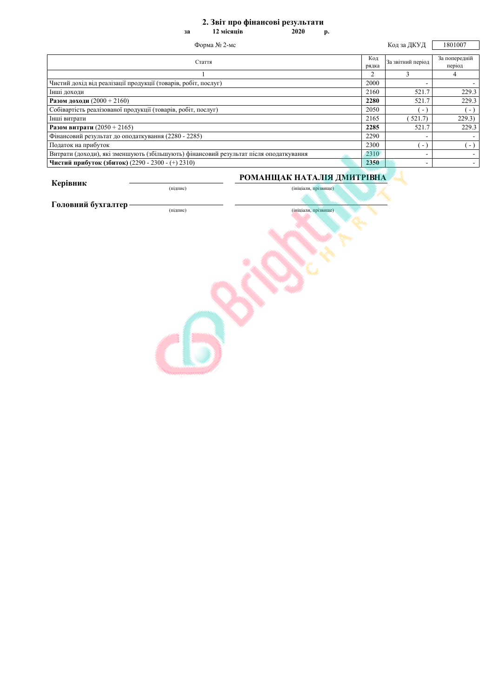## 2. Звіт про фінансові результати

12 місяців  $2020$ **p.** 

| Форма № 2-мс                                                                          |                | Код за ДКУД       | 1801007                 |
|---------------------------------------------------------------------------------------|----------------|-------------------|-------------------------|
| Стаття                                                                                | Код<br>рядка   | За звітний період | За попередній<br>період |
|                                                                                       | $\overline{c}$ |                   | 4                       |
| Чистий дохід від реалізації продукції (товарів, робіт, послуг)                        | 2000           |                   |                         |
| Інші доходи                                                                           | 2160           | 521.7             | 229.3                   |
| <b>Разом доходи</b> $(2000 + 2160)$                                                   | 2280           | 521.7             | 229.3                   |
| Собівартість реалізованої продукції (товарів, робіт, послуг)                          | 2050           | $\sim$            | ۰.                      |
| Інші витрати                                                                          | 2165           | 521.7             | 229.3)                  |
| <b>Разом витрати</b> $(2050 + 2165)$                                                  | 2285           | 521.7             | 229.3                   |
| Фінансовий результат до оподаткування (2280 - 2285)                                   | 2290           |                   |                         |
| Податок на прибуток                                                                   | 2300           | $\blacksquare$    | $\sim$                  |
| Витрати (доходи), які зменшують (збільшують) фінансовий результат після оподаткування | 2310           |                   |                         |
| Чистий прибуток (збиток) (2290 - 2300 - (+) 2310)                                     | 2350           |                   |                         |

Керівник

(підпис)

## РОМАНЩАК НАТАЛІЯ ДМИТРІВНА

(ініціали, прізвище)

Головний бухгалтер-

(підпис)

 $3a$ 

(ініціали, прізвище)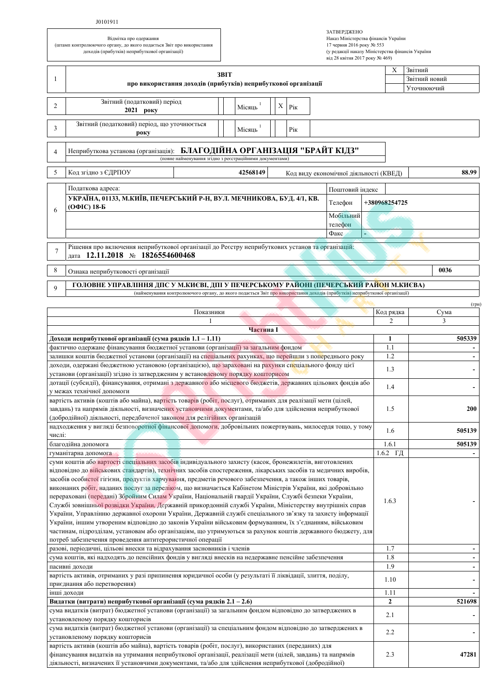## J0101911

| Відмітка про одержання                                                |
|-----------------------------------------------------------------------|
| (штамп контролюючого органу, до якого подається Звіт про використання |
| доходів (прибутків) неприбуткової організації)                        |

| ЗАТВЕРДЖЕНО                                      |
|--------------------------------------------------|
| Наказ Міністерства фінансів України              |
| 17 червня 2016 року № 553                        |
| (у редакції наказу Міністерства фінансів України |
| від 28 квітня 2017 року № 469)                   |

|                                                                                                                                                                                                                    |                                                                                                                                                                                                                           | 3BIT      |           |    |     |            |                                        | Χ              | Звітний       |
|--------------------------------------------------------------------------------------------------------------------------------------------------------------------------------------------------------------------|---------------------------------------------------------------------------------------------------------------------------------------------------------------------------------------------------------------------------|-----------|-----------|----|-----|------------|----------------------------------------|----------------|---------------|
| -1<br>про використання доходів (прибутків) неприбуткової організації                                                                                                                                               |                                                                                                                                                                                                                           |           |           |    |     |            | Звітний новий                          |                |               |
|                                                                                                                                                                                                                    |                                                                                                                                                                                                                           |           |           |    |     |            |                                        | Уточнюючий     |               |
| 2                                                                                                                                                                                                                  | Звітний (податковий) період<br>2021 року                                                                                                                                                                                  |           | Місяць    | X. | Pік |            |                                        |                |               |
| 3                                                                                                                                                                                                                  | Звітний (податковий) період, що уточнюється<br>року                                                                                                                                                                       |           | Місяць    |    | Рік |            |                                        |                |               |
| 4                                                                                                                                                                                                                  | Неприбуткова установа (організація): БЛАГОДІЙНА ОРГАНІЗАЦІЯ "БРАЙТ КІДЗ"<br>(повне найменування згідно з реєстраційними документами)                                                                                      |           |           |    |     |            |                                        |                |               |
|                                                                                                                                                                                                                    |                                                                                                                                                                                                                           |           |           |    |     |            |                                        |                |               |
| 5                                                                                                                                                                                                                  | Код згідно з ЄДРПОУ                                                                                                                                                                                                       |           | 42568149  |    |     |            | Код виду економічної діяльності (КВЕД) |                | 88.99         |
|                                                                                                                                                                                                                    | Податкова адреса:                                                                                                                                                                                                         |           |           |    |     |            | Поштовий індекс                        |                |               |
| 6                                                                                                                                                                                                                  | УКРАЇНА, 01133, М.КИЇВ, ПЕЧЕРСЬКИЙ Р-Н, ВУЛ. МЕЧНИКОВА, БУД. 4/1, КВ.<br>(ОФІС) 18-Б                                                                                                                                      |           |           |    |     |            | Телефон                                | +380968254725  |               |
|                                                                                                                                                                                                                    |                                                                                                                                                                                                                           |           |           |    |     |            | Мобільний                              |                |               |
|                                                                                                                                                                                                                    |                                                                                                                                                                                                                           |           |           |    |     |            | телефон                                |                |               |
|                                                                                                                                                                                                                    |                                                                                                                                                                                                                           |           |           |    |     |            | Факс                                   |                |               |
| 7                                                                                                                                                                                                                  | Рішення про включення неприбуткової організації до Ресстру неприбуткових установ та організацій:<br>дата 12.11.2018 № 1826554600468                                                                                       |           |           |    |     |            |                                        |                |               |
| 8                                                                                                                                                                                                                  | Ознака неприбутковості організації                                                                                                                                                                                        |           |           |    |     |            |                                        |                | 0036          |
|                                                                                                                                                                                                                    | ГОЛОВНЕ УПРАВЛІННЯ ДПС У М.КИЄВІ, ДПІ У ПЕЧЕРСЬКОМУ РАЙОНІ (ПЕЧЕРСЬКИЙ РАЙОН М.КИЄВА)                                                                                                                                     |           |           |    |     |            |                                        |                |               |
| 9                                                                                                                                                                                                                  | (найменування контролюючого органу, до якого подається Звіт про використання доходів (прибутків) неприбуткової організації)                                                                                               |           |           |    |     |            |                                        |                |               |
|                                                                                                                                                                                                                    |                                                                                                                                                                                                                           |           |           |    |     |            |                                        |                | $(\Gamma$ ph) |
|                                                                                                                                                                                                                    |                                                                                                                                                                                                                           | Показники |           |    |     |            |                                        | Код рядка      | Сума          |
|                                                                                                                                                                                                                    |                                                                                                                                                                                                                           |           | Частина I |    |     |            |                                        | 2              | 3             |
|                                                                                                                                                                                                                    | Доходи неприбуткової організації (сума рядків 1.1 – 1.11)                                                                                                                                                                 |           |           |    |     |            |                                        | $\mathbf{1}$   | 505339        |
|                                                                                                                                                                                                                    | фактично одержане фінансування бюджетної установи (організації) за загальним фондом                                                                                                                                       |           |           |    |     |            |                                        | 1.1            |               |
|                                                                                                                                                                                                                    | залишки коштів бюджетної установи (організації) на спеціальних рахунках, що перейшли з попереднього року                                                                                                                  |           |           |    |     |            |                                        | 1.2            |               |
|                                                                                                                                                                                                                    | доходи, одержані бюджетною установою (організацією), що зараховані на рахунки сп <mark>е</mark> ціального фонду цієї                                                                                                      |           |           |    |     |            |                                        | 1.3            |               |
| установи (організації) згідно із затвердженим у встановленому порядку кошторисом                                                                                                                                   |                                                                                                                                                                                                                           |           |           |    |     |            |                                        |                |               |
| дотації (субсидії), фінансування, отримані з державного або місцевого бюджетів, державних цільових фондів або<br>у межах технічної допомоги                                                                        |                                                                                                                                                                                                                           |           |           |    |     | 1.4        |                                        |                |               |
|                                                                                                                                                                                                                    | вартість активів (коштів або майна), вартість товарів (робіт, послуг), отриманих для реалізації мети (цілей,                                                                                                              |           |           |    |     |            |                                        |                |               |
|                                                                                                                                                                                                                    | завдань) та напрямів діяльності, визначених установчими документами, та/або для здійснення неприбуткової                                                                                                                  |           |           |    |     |            |                                        | 1.5            | 200           |
|                                                                                                                                                                                                                    | (добродійної) діяльності, передбаченої законом для релігійних організацій<br>надходження у вигляді безповоротної фінансової допомоги, добровільних пожертвувань, милосердя тощо, у тому                                   |           |           |    |     |            |                                        |                |               |
| числі:                                                                                                                                                                                                             |                                                                                                                                                                                                                           |           |           |    |     |            |                                        | 1.6            | 505139        |
|                                                                                                                                                                                                                    | благодійна допомога                                                                                                                                                                                                       |           |           |    |     |            |                                        | 1.6.1          | 505139        |
|                                                                                                                                                                                                                    | гуманітарна допомога                                                                                                                                                                                                      |           |           |    |     |            |                                        | $1.6.2$ ГД     |               |
|                                                                                                                                                                                                                    | суми коштів або вартості спеціальних засобів індивідуального захисту (касок, бронежилетів, виготовлених<br>відповідно до військових стандартів), технічних засобів спостереження, лікарських засобів та медичних виробів, |           |           |    |     |            |                                        |                |               |
|                                                                                                                                                                                                                    | засобів особистої гігієни, продуктів харчування, предметів речового забезпечення, а також інших товарів,                                                                                                                  |           |           |    |     |            |                                        |                |               |
|                                                                                                                                                                                                                    | виконаних робіт, наданих послуг за переліком, що визначається Кабінетом Міністрів України, які добровільно                                                                                                                |           |           |    |     |            |                                        |                |               |
|                                                                                                                                                                                                                    | перераховані (передані) Збройним Силам України, Національній гвардії України, Службі безпеки України,                                                                                                                     |           |           |    |     |            |                                        | 1.6.3          |               |
|                                                                                                                                                                                                                    | Службі зовнішньої розвідки України. Державній прикордонній службі України, Міністерству внутрішніх справ<br>України, Управлінню державної охорони України, Державній службі спеціального зв'язку та захисту інформації    |           |           |    |     |            |                                        |                |               |
|                                                                                                                                                                                                                    | України, іншим утвореним відповідно до законів України військовим формуванням, їх з'єднанням, військовим                                                                                                                  |           |           |    |     |            |                                        |                |               |
|                                                                                                                                                                                                                    | частинам, підрозділам, установам або організаціям, що утримуються за рахунок коштів державного бюджету, для                                                                                                               |           |           |    |     |            |                                        |                |               |
|                                                                                                                                                                                                                    | потреб забезпечення проведення антитерористичної операції                                                                                                                                                                 |           |           |    |     |            |                                        |                |               |
| разові, періодичні, цільові внески та відрахування засновників і членів<br>сума коштів, які надходять до пенсійних фондів у вигляді внесків на недержавне пенсійне забезпечення                                    |                                                                                                                                                                                                                           |           |           |    |     | 1.7<br>1.8 |                                        |                |               |
| пасивні доходи                                                                                                                                                                                                     |                                                                                                                                                                                                                           |           |           |    |     | 1.9        |                                        |                |               |
| вартість активів, отриманих у разі припинення юридичної особи (у результаті її ліквідації, злиття, поділу,                                                                                                         |                                                                                                                                                                                                                           |           |           |    |     |            |                                        |                |               |
| приєднання або перетворення)                                                                                                                                                                                       |                                                                                                                                                                                                                           |           |           |    |     | 1.10       |                                        |                |               |
| інші доходи                                                                                                                                                                                                        |                                                                                                                                                                                                                           |           |           |    |     |            | 1.11                                   |                |               |
|                                                                                                                                                                                                                    | Видатки (витрати) неприбуткової організації (сума рядків 2.1 – 2.6)                                                                                                                                                       |           |           |    |     |            |                                        | $\overline{2}$ | 521698        |
| сума видатків (витрат) бюджетної установи (організації) за загальним фондом відповідно до затверджених в<br>установленому порядку кошторисів                                                                       |                                                                                                                                                                                                                           |           |           |    |     |            | 2.1                                    |                |               |
|                                                                                                                                                                                                                    | сума видатків (витрат) бюджетної установи (організації) за спеціальним фондом відповідно до затверджених в                                                                                                                |           |           |    |     |            |                                        | 2.2            |               |
|                                                                                                                                                                                                                    | установленому порядку кошторисів<br>вартість активів (коштів або майна), вартість товарів (робіт, послуг), використаних (переданих) для                                                                                   |           |           |    |     |            |                                        |                |               |
|                                                                                                                                                                                                                    |                                                                                                                                                                                                                           |           |           |    |     |            |                                        | 2.3            | 47281         |
| фінансування видатків на утримання неприбуткової організації, реалізації мети (цілей, завдань) та напрямів<br>діяльності, визначених її установчими документами, та/або для здійснення неприбуткової (добродійної) |                                                                                                                                                                                                                           |           |           |    |     |            |                                        |                |               |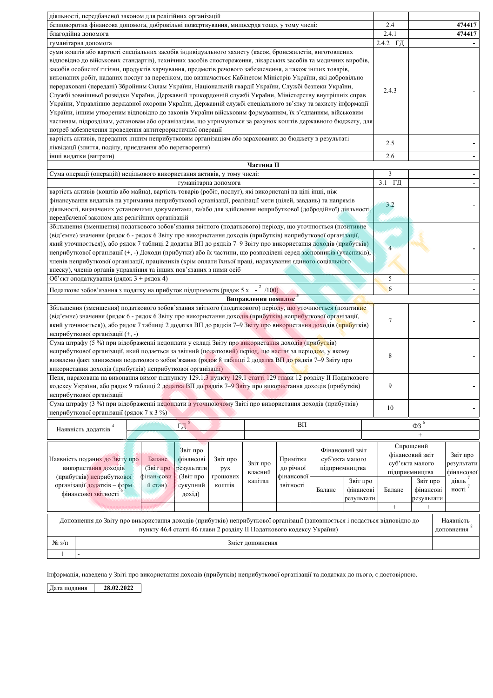| діяльності, передбаченої законом для релігійних організацій                                                                                                                                                                                                                                                                                                                                                                                                                                                                                                                                                                                                                                                                                                                                                                                                                                                                                                                                                       |                   |                         |                         |
|-------------------------------------------------------------------------------------------------------------------------------------------------------------------------------------------------------------------------------------------------------------------------------------------------------------------------------------------------------------------------------------------------------------------------------------------------------------------------------------------------------------------------------------------------------------------------------------------------------------------------------------------------------------------------------------------------------------------------------------------------------------------------------------------------------------------------------------------------------------------------------------------------------------------------------------------------------------------------------------------------------------------|-------------------|-------------------------|-------------------------|
| безповоротна фінансова допомога, добровільні пожертвування, милосердя тощо, у тому числі:                                                                                                                                                                                                                                                                                                                                                                                                                                                                                                                                                                                                                                                                                                                                                                                                                                                                                                                         | 2.4               |                         | 474417                  |
| благодійна допомога                                                                                                                                                                                                                                                                                                                                                                                                                                                                                                                                                                                                                                                                                                                                                                                                                                                                                                                                                                                               | 2.4.1             |                         | 474417                  |
| гуманітарна допомога                                                                                                                                                                                                                                                                                                                                                                                                                                                                                                                                                                                                                                                                                                                                                                                                                                                                                                                                                                                              | 2.4.2 ГД          |                         |                         |
| суми коштів або вартості спеціальних засобів індивідуального захисту (касок, бронежилетів, виготовлених<br>відповідно до військових стандартів), технічних засобів спостереження, лікарських засобів та медичних виробів,<br>засобів особистої гігієни, продуктів харчування, предметів речового забезпечення, а також інших товарів,<br>виконаних робіт, наданих послуг за переліком, що визначається Кабінетом Міністрів України, які добровільно<br>перераховані (передані) Збройним Силам України, Національній гвардії України, Службі безпеки України,<br>Службі зовнішньої розвідки України, Державній прикордонній службі України, Міністерству внутрішніх справ<br>України, Управлінню державної охорони України, Державній службі спеціального зв'язку та захисту інформації<br>України, іншим утвореним відповідно до законів України військовим формуванням, їх з'єднанням, військовим<br>частинам, підрозділам, установам або організаціям, що утримуються за рахунок коштів державного бюджету, для | 2.4.3             |                         |                         |
| потреб забезпечення проведення антитерористичної операції                                                                                                                                                                                                                                                                                                                                                                                                                                                                                                                                                                                                                                                                                                                                                                                                                                                                                                                                                         |                   |                         |                         |
| вартість активів, переданих іншим неприбутковим організаціям або зарахованих до бюджету в результаті                                                                                                                                                                                                                                                                                                                                                                                                                                                                                                                                                                                                                                                                                                                                                                                                                                                                                                              | 2.5               |                         |                         |
| ліквідації (злиття, поділу, приєднання або перетворення)<br>інші видатки (витрати)                                                                                                                                                                                                                                                                                                                                                                                                                                                                                                                                                                                                                                                                                                                                                                                                                                                                                                                                | 2.6               |                         |                         |
| Частина II                                                                                                                                                                                                                                                                                                                                                                                                                                                                                                                                                                                                                                                                                                                                                                                                                                                                                                                                                                                                        |                   |                         |                         |
| Сума операції (операцій) нецільового використання активів, у тому числі:                                                                                                                                                                                                                                                                                                                                                                                                                                                                                                                                                                                                                                                                                                                                                                                                                                                                                                                                          | $\overline{3}$    |                         |                         |
| гуманітарна допомога                                                                                                                                                                                                                                                                                                                                                                                                                                                                                                                                                                                                                                                                                                                                                                                                                                                                                                                                                                                              | 3.1 ГД            |                         |                         |
| вартість активів (коштів або майна), вартість товарів (робіт, послуг), які використані на цілі інші, ніж                                                                                                                                                                                                                                                                                                                                                                                                                                                                                                                                                                                                                                                                                                                                                                                                                                                                                                          |                   |                         |                         |
| фінансування видатків на утримання неприбуткової організації, реалізації мети (цілей, завдань) та напрямів<br>діяльності, визначених установчими документами, та/або для здійснення неприбуткової (добродійної) діяльності,<br>передбаченої законом для релігійних організацій                                                                                                                                                                                                                                                                                                                                                                                                                                                                                                                                                                                                                                                                                                                                    | 3.2               |                         |                         |
| Збільшення (зменшення) податкового зобов'язання звітного (податкового) періоду, що уточнюється (позитивне                                                                                                                                                                                                                                                                                                                                                                                                                                                                                                                                                                                                                                                                                                                                                                                                                                                                                                         |                   |                         |                         |
| (від'ємне) значення (рядок 6 - рядок 6 Звіту про використання доходів (прибутків) неприбуткової організації,                                                                                                                                                                                                                                                                                                                                                                                                                                                                                                                                                                                                                                                                                                                                                                                                                                                                                                      |                   |                         |                         |
| який уточнюється)), або рядок 7 таблиці 2 додатка ВП до рядків 7-9 Звіту про використання доходів (прибутків)                                                                                                                                                                                                                                                                                                                                                                                                                                                                                                                                                                                                                                                                                                                                                                                                                                                                                                     | 4                 |                         |                         |
| неприбуткової організації (+, -) Доходи (прибутки) або їх частини, що розподілені серед засновників (учасників),                                                                                                                                                                                                                                                                                                                                                                                                                                                                                                                                                                                                                                                                                                                                                                                                                                                                                                  |                   |                         |                         |
| членів неприбуткової організації, працівників (крім оплати їхньої праці, нарахування єдиного соціального                                                                                                                                                                                                                                                                                                                                                                                                                                                                                                                                                                                                                                                                                                                                                                                                                                                                                                          |                   |                         |                         |
| внеску), членів органів управління та інших пов'язаних з ними осіб                                                                                                                                                                                                                                                                                                                                                                                                                                                                                                                                                                                                                                                                                                                                                                                                                                                                                                                                                |                   |                         |                         |
| Об'єкт оподаткування (рядок 3 + рядок 4)                                                                                                                                                                                                                                                                                                                                                                                                                                                                                                                                                                                                                                                                                                                                                                                                                                                                                                                                                                          | 5                 |                         |                         |
| Податкове зобов'язання з податку на прибуток підприємств (рядок 5 х - $^{2}$ /100)                                                                                                                                                                                                                                                                                                                                                                                                                                                                                                                                                                                                                                                                                                                                                                                                                                                                                                                                | 6                 |                         |                         |
| Виправлення помилок                                                                                                                                                                                                                                                                                                                                                                                                                                                                                                                                                                                                                                                                                                                                                                                                                                                                                                                                                                                               |                   |                         |                         |
| Збільшення (зменшення) податкового зобов'язання звітного (податкового) періоду, що уточнюється (позитивне<br>(від'ємне) значення (рядок 6 - рядок 6 Звіту про використання доходів (прибутків) неприбуткової організації,<br>який уточнюється)), або рядок 7 таблиці 2 додатка ВП до рядків 7-9 Звіту про використання доходів (прибутків)<br>неприбуткової організації (+, -)                                                                                                                                                                                                                                                                                                                                                                                                                                                                                                                                                                                                                                    | $\tau$            |                         |                         |
| Сума штрафу (5 %) при відображенні недоплати у складі Звіту про використання доходів (прибутків)                                                                                                                                                                                                                                                                                                                                                                                                                                                                                                                                                                                                                                                                                                                                                                                                                                                                                                                  |                   |                         |                         |
| неприбуткової організації, який подається за звітний (податковий) період, що настає за періодом, у якому<br>виявлено факт заниження податкового зобов'язання (рядок 8 таблиці 2 додатка ВП до рядків 7-9 Звіту про<br>використання доходів (прибутків) неприбуткової організації)                                                                                                                                                                                                                                                                                                                                                                                                                                                                                                                                                                                                                                                                                                                                 | 8                 |                         |                         |
| Пеня, нарахована на виконання вимог підпункту 129.1.3 пункту 129.1 статті 129 глави 12 розділу ІІ Податкового                                                                                                                                                                                                                                                                                                                                                                                                                                                                                                                                                                                                                                                                                                                                                                                                                                                                                                     |                   |                         |                         |
| кодексу України, або рядок 9 таблиці 2 додатка ВП до рядків 7-9 Звіту про використання доходів (прибутків)                                                                                                                                                                                                                                                                                                                                                                                                                                                                                                                                                                                                                                                                                                                                                                                                                                                                                                        | 9                 |                         |                         |
| неприбуткової організації                                                                                                                                                                                                                                                                                                                                                                                                                                                                                                                                                                                                                                                                                                                                                                                                                                                                                                                                                                                         |                   |                         |                         |
| Сума штрафу (3 %) при відображенні недоплати в уточнюючому Звіті про використання доходів (прибутків)<br>неприбуткової організації (рядок 7 х 3 %)                                                                                                                                                                                                                                                                                                                                                                                                                                                                                                                                                                                                                                                                                                                                                                                                                                                                | 10                |                         |                         |
| $\Gamma \Pi$ <sup>5</sup><br>BΠ<br>Наявність додатків <sup>4</sup>                                                                                                                                                                                                                                                                                                                                                                                                                                                                                                                                                                                                                                                                                                                                                                                                                                                                                                                                                |                   | $\Phi 3$ $^6$<br>$^{+}$ |                         |
|                                                                                                                                                                                                                                                                                                                                                                                                                                                                                                                                                                                                                                                                                                                                                                                                                                                                                                                                                                                                                   |                   | Спрощений               |                         |
| Звіт про<br>Фінансовий звіт<br>Баланс<br>суб'єкта малого<br>Наявність поданих до Звіту про<br>фінансові<br>Звіт про<br>Примітки                                                                                                                                                                                                                                                                                                                                                                                                                                                                                                                                                                                                                                                                                                                                                                                                                                                                                   | фінансовий звіт   |                         | Звіт про                |
| Звіт про<br>використання доходів<br>підприємництва<br>(Звіт про<br>результати<br>до річної<br>рух                                                                                                                                                                                                                                                                                                                                                                                                                                                                                                                                                                                                                                                                                                                                                                                                                                                                                                                 |                   | суб'єкта малого         | результати              |
| власний<br>(прибутків) неприбуткової<br>фінансової<br>фінан-сови<br>(Звіт про<br>грошових                                                                                                                                                                                                                                                                                                                                                                                                                                                                                                                                                                                                                                                                                                                                                                                                                                                                                                                         |                   | підприємництва          | фінансової              |
| капітал<br>Звіт про<br>організації додатків - форм<br>сукупний<br>звітності<br>й стан)<br>коштів                                                                                                                                                                                                                                                                                                                                                                                                                                                                                                                                                                                                                                                                                                                                                                                                                                                                                                                  |                   | Звіт про                | діяль                   |
| фінансові<br>Баланс<br>фінансової звітності<br>дохід)                                                                                                                                                                                                                                                                                                                                                                                                                                                                                                                                                                                                                                                                                                                                                                                                                                                                                                                                                             | Баланс            | фінансові               | ності <sup>7</sup>      |
| результати                                                                                                                                                                                                                                                                                                                                                                                                                                                                                                                                                                                                                                                                                                                                                                                                                                                                                                                                                                                                        | $\qquad \qquad +$ | результати<br>$^{+}$    |                         |
|                                                                                                                                                                                                                                                                                                                                                                                                                                                                                                                                                                                                                                                                                                                                                                                                                                                                                                                                                                                                                   |                   |                         |                         |
| Доповнення до Звіту про використання доходів (прибутків) неприбуткової організації (заповнюється і подається відповідно до<br>пункту 46.4 статті 46 глави 2 розділу II Податкового кодексу України)                                                                                                                                                                                                                                                                                                                                                                                                                                                                                                                                                                                                                                                                                                                                                                                                               |                   |                         | Наявність<br>доповнення |
| $N_2/1$<br>Зміст доповнення                                                                                                                                                                                                                                                                                                                                                                                                                                                                                                                                                                                                                                                                                                                                                                                                                                                                                                                                                                                       |                   |                         |                         |
| $\mathbf{1}$<br>÷.                                                                                                                                                                                                                                                                                                                                                                                                                                                                                                                                                                                                                                                                                                                                                                                                                                                                                                                                                                                                |                   |                         |                         |

Інформація, наведена у Звіті про використання доходів (прибутків) неприбуткової організації та додатках до нього, є достовірною.

Дата подання 28.02.2022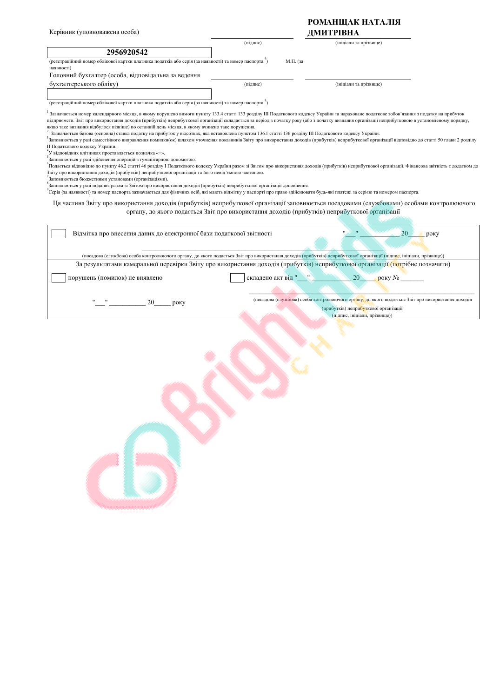| Керівник (уповноважена особа)                                                                                                                                                                                                                                                                                                                                                                                                                                                                                                                                                                                                                                                                                                                                                                                                                                                                                                                                                                                                                                                                                                                                                                                                                                                                                                                                                                                                                                                                                                                                                                                                                                                                                                                                                                                                                                      |                    | РОМАНЩАК НАТАЛІЯ<br>ДМИТРІВНА                                                                                                                                               |      |
|--------------------------------------------------------------------------------------------------------------------------------------------------------------------------------------------------------------------------------------------------------------------------------------------------------------------------------------------------------------------------------------------------------------------------------------------------------------------------------------------------------------------------------------------------------------------------------------------------------------------------------------------------------------------------------------------------------------------------------------------------------------------------------------------------------------------------------------------------------------------------------------------------------------------------------------------------------------------------------------------------------------------------------------------------------------------------------------------------------------------------------------------------------------------------------------------------------------------------------------------------------------------------------------------------------------------------------------------------------------------------------------------------------------------------------------------------------------------------------------------------------------------------------------------------------------------------------------------------------------------------------------------------------------------------------------------------------------------------------------------------------------------------------------------------------------------------------------------------------------------|--------------------|-----------------------------------------------------------------------------------------------------------------------------------------------------------------------------|------|
|                                                                                                                                                                                                                                                                                                                                                                                                                                                                                                                                                                                                                                                                                                                                                                                                                                                                                                                                                                                                                                                                                                                                                                                                                                                                                                                                                                                                                                                                                                                                                                                                                                                                                                                                                                                                                                                                    | (підпис)           | (ініціали та прізвище)                                                                                                                                                      |      |
| 2956920542                                                                                                                                                                                                                                                                                                                                                                                                                                                                                                                                                                                                                                                                                                                                                                                                                                                                                                                                                                                                                                                                                                                                                                                                                                                                                                                                                                                                                                                                                                                                                                                                                                                                                                                                                                                                                                                         |                    |                                                                                                                                                                             |      |
| (реєстраційний номер облікової картки платника податків або серія (за наявності) та номер паспорта)<br>наявності)                                                                                                                                                                                                                                                                                                                                                                                                                                                                                                                                                                                                                                                                                                                                                                                                                                                                                                                                                                                                                                                                                                                                                                                                                                                                                                                                                                                                                                                                                                                                                                                                                                                                                                                                                  |                    | М.П. (за                                                                                                                                                                    |      |
| Головний бухгалтер (особа, відповідальна за ведення                                                                                                                                                                                                                                                                                                                                                                                                                                                                                                                                                                                                                                                                                                                                                                                                                                                                                                                                                                                                                                                                                                                                                                                                                                                                                                                                                                                                                                                                                                                                                                                                                                                                                                                                                                                                                |                    |                                                                                                                                                                             |      |
| бухгалтерського обліку)                                                                                                                                                                                                                                                                                                                                                                                                                                                                                                                                                                                                                                                                                                                                                                                                                                                                                                                                                                                                                                                                                                                                                                                                                                                                                                                                                                                                                                                                                                                                                                                                                                                                                                                                                                                                                                            | (підпис)           | (ініціали та прізвище)                                                                                                                                                      |      |
| (реєстраційний номер облікової картки платника податків або серія (за наявності) та номер паспорта")                                                                                                                                                                                                                                                                                                                                                                                                                                                                                                                                                                                                                                                                                                                                                                                                                                                                                                                                                                                                                                                                                                                                                                                                                                                                                                                                                                                                                                                                                                                                                                                                                                                                                                                                                               |                    |                                                                                                                                                                             |      |
| Зазначається номер календарного місяця, в якому порушено вимоги пункту 133.4 статті 133 розділу ІІІ Податкового кодексу України та нараховане податкове зобов'язання з податку на прибуток<br>підприємств. Звіт про використання доходів (прибутків) неприбуткової організації складається за період з початку року (або з початку визнання організації неприбутковою в установленому порядку,<br>якщо таке визнання відбулося пізніше) по останній день місяця, в якому вчинено таке порушення.<br>Зазначається базова (основна) ставка податку на прибуток у відсотках, яка встановлена пунктом 136.1 статті 136 розділу III Податкового кодексу України.<br>.<br>Заповнюється у разі самостійного виправлення помилки(ок) шляхом уточнення показників Звіту про використання доходів (прибутків) неприбуткової організації відповідно до статті 50 глави 2 розділу<br>II Податкового кодексу України.<br>У відповідних клітинках проставляється позначка «+».<br>Заповнюється у разі здійснення операцій з гуманітарною допомогою.<br>"Подається відповідно до пункту 46.2 статті 46 розділу І Податкового кодексу України разом зі Звітом про використання доходів (прибутків) неприбуткової організації. Фінансова звітність є додатком до<br>Звіту про використання доходів (прибутків) неприбуткової організації та його невід'ємною частиною.<br>Заповнюється бюджетними установами (організаціями).<br>Заповнюється у разі подання разом зі Звітом про використання доходів (прибутків) неприбуткової організації доповнення.<br>Серія (за наявності) та номер паспорта зазначаються для фізичних осіб, які мають відмітку у паспорті про право здійснювати будь-які платежі за серією та номером паспорта.<br>Ця частина Звіту про використання доходів (прибутків) неприбуткової організації заповнюється посадовими (службовими) особами контролюючого |                    | органу, до якого подається Звіт про використання доходів (прибутків) неприбуткової організації                                                                              |      |
| Відмітка про внесення даних до електронної бази податкової звітності                                                                                                                                                                                                                                                                                                                                                                                                                                                                                                                                                                                                                                                                                                                                                                                                                                                                                                                                                                                                                                                                                                                                                                                                                                                                                                                                                                                                                                                                                                                                                                                                                                                                                                                                                                                               |                    | 20                                                                                                                                                                          | року |
| (посадова (службова) особа контролюючого органу, до якого подасться Звіт про використання доходів (прибутків) неприбуткової організації (підпис, ініціали, прізвище))                                                                                                                                                                                                                                                                                                                                                                                                                                                                                                                                                                                                                                                                                                                                                                                                                                                                                                                                                                                                                                                                                                                                                                                                                                                                                                                                                                                                                                                                                                                                                                                                                                                                                              |                    |                                                                                                                                                                             |      |
| За результатами камеральної перевірки Звіту про використання доходів (прибутків) неприбуткової організації (потрібне позначити)                                                                                                                                                                                                                                                                                                                                                                                                                                                                                                                                                                                                                                                                                                                                                                                                                                                                                                                                                                                                                                                                                                                                                                                                                                                                                                                                                                                                                                                                                                                                                                                                                                                                                                                                    |                    |                                                                                                                                                                             |      |
| порушень (помилок) не виявлено                                                                                                                                                                                                                                                                                                                                                                                                                                                                                                                                                                                                                                                                                                                                                                                                                                                                                                                                                                                                                                                                                                                                                                                                                                                                                                                                                                                                                                                                                                                                                                                                                                                                                                                                                                                                                                     | складено акт від " | 20<br>року $N_2$                                                                                                                                                            |      |
| 20<br>року                                                                                                                                                                                                                                                                                                                                                                                                                                                                                                                                                                                                                                                                                                                                                                                                                                                                                                                                                                                                                                                                                                                                                                                                                                                                                                                                                                                                                                                                                                                                                                                                                                                                                                                                                                                                                                                         |                    | (посадова (службова) особа контролюючого органу, до якого подасться Звіт про використання доходів<br>(прибутків) неприбуткової організації<br>(підпис, ініціали, прізвище)) |      |
|                                                                                                                                                                                                                                                                                                                                                                                                                                                                                                                                                                                                                                                                                                                                                                                                                                                                                                                                                                                                                                                                                                                                                                                                                                                                                                                                                                                                                                                                                                                                                                                                                                                                                                                                                                                                                                                                    |                    |                                                                                                                                                                             |      |